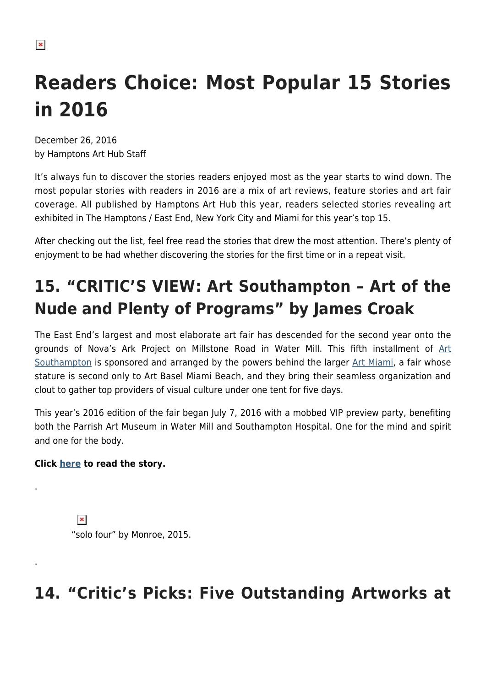$\pmb{\times}$ 

# **Readers Choice: Most Popular 15 Stories in 2016**

December 26, 2016 by Hamptons Art Hub Staff

It's always fun to discover the stories readers enjoyed most as the year starts to wind down. The most popular stories with readers in 2016 are a mix of art reviews, feature stories and art fair coverage. All published by Hamptons Art Hub this year, readers selected stories revealing art exhibited in The Hamptons / East End, New York City and Miami for this year's top 15.

After checking out the list, feel free read the stories that drew the most attention. There's plenty of enjoyment to be had whether discovering the stories for the first time or in a repeat visit.

## **15. "CRITIC'S VIEW: Art Southampton – Art of the Nude and Plenty of Programs" by James Croak**

The East End's largest and most elaborate art fair has descended for the second year onto the grounds of Nova's Ark Project on Millstone Road in Water Mill. This fifth installment of [Art](http://www.art-southampton.com/DesktopDefault.aspx?tabid=1) [Southampton](http://www.art-southampton.com/DesktopDefault.aspx?tabid=1) is sponsored and arranged by the powers behind the larger [Art Miami,](http://www.artmiamifair.com/) a fair whose stature is second only to Art Basel Miami Beach, and they bring their seamless organization and clout to gather top providers of visual culture under one tent for five days.

This year's 2016 edition of the fair began July 7, 2016 with a mobbed VIP preview party, benefiting both the Parrish Art Museum in Water Mill and Southampton Hospital. One for the mind and spirit and one for the body.

#### **Click [here](https://hamptonsarthub.com/2016/07/08/reviews-art-southampton-art-of-the-nude-and-plenty-of-programs/) to read the story.**

.

.

 $\pmb{\times}$ "solo four" by Monroe, 2015.

### **14. "Critic's Picks: Five Outstanding Artworks at**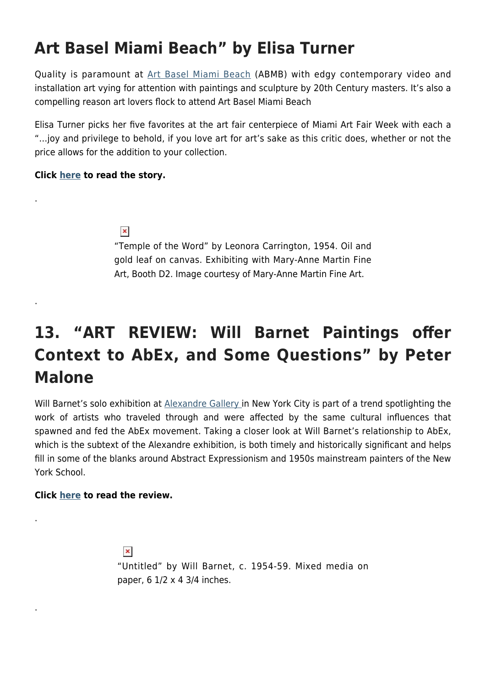### **Art Basel Miami Beach" by Elisa Turner**

Quality is paramount at [Art Basel Miami Beach](https://www.artbasel.com/miami-beach) (ABMB) with edgy contemporary video and installation art vying for attention with paintings and sculpture by 20th Century masters. It's also a compelling reason art lovers flock to attend Art Basel Miami Beach

Elisa Turner picks her five favorites at the art fair centerpiece of Miami Art Fair Week with each a "…joy and privilege to behold, if you love art for art's sake as this critic does, whether or not the price allows for the addition to your collection.

#### **Click [here](https://hamptonsarthub.com/2016/12/01/art-fairs-critics-picks-five-outstanding-artworks-at-art-basel-miami-beach/) to read the story.**

.

.

.

.

 $\pmb{\times}$ 

"Temple of the Word" by Leonora Carrington, 1954. Oil and gold leaf on canvas. Exhibiting with Mary-Anne Martin Fine Art, Booth D2. Image courtesy of Mary-Anne Martin Fine Art.

### **13. "ART REVIEW: Will Barnet Paintings offer Context to AbEx, and Some Questions" by Peter Malone**

Will Barnet's solo exhibition at [Alexandre Gallery](http://www.alexandregallery.com/) in New York City is part of a trend spotlighting the work of artists who traveled through and were affected by the same cultural influences that spawned and fed the AbEx movement. Taking a closer look at Will Barnet's relationship to AbEx, which is the subtext of the Alexandre exhibition, is both timely and historically significant and helps fill in some of the blanks around Abstract Expressionism and 1950s mainstream painters of the New York School.

#### **Click [here](https://hamptonsarthub.com/2016/05/04/art-review-will-barnet-paintings-offer-context-to-abex-and-some-questions/) to read the review.**

 $\pmb{\times}$ "Untitled" by Will Barnet, c. 1954-59. Mixed media on paper, 6 1/2 x 4 3/4 inches.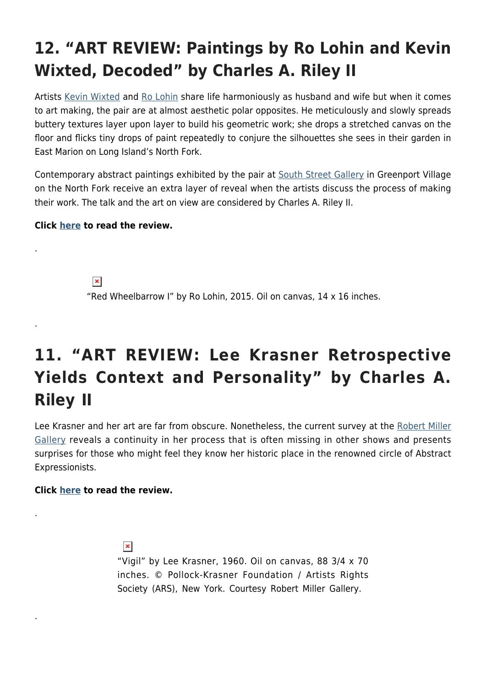## **12. "ART REVIEW: Paintings by Ro Lohin and Kevin Wixted, Decoded" by Charles A. Riley II**

Artists [Kevin Wixted](http://www.kevinwixted.net/) and [Ro Lohin](http://www.rolohin.com/) share life harmoniously as husband and wife but when it comes to art making, the pair are at almost aesthetic polar opposites. He meticulously and slowly spreads buttery textures layer upon layer to build his geometric work; she drops a stretched canvas on the floor and flicks tiny drops of paint repeatedly to conjure the silhouettes she sees in their garden in East Marion on Long Island's North Fork.

Contemporary abstract paintings exhibited by the pair at [South Street Gallery](http://thesouthstreetgallery.com/about/) in Greenport Village on the North Fork receive an extra layer of reveal when the artists discuss the process of making their work. The talk and the art on view are considered by Charles A. Riley II.

#### **Click [here](https://hamptonsarthub.com/2016/08/09/art-review-paintings-by-ro-lohin-and-kevin-wixted-decoded/) to read the review.**

.

.

.

.

 $\pmb{\times}$ "Red Wheelbarrow I" by Ro Lohin, 2015. Oil on canvas, 14 x 16 inches.

### **11. "ART REVIEW: Lee Krasner Retrospective Yields Context and Personality" by Charles A. Riley II**

Lee Krasner and her art are far from obscure. Nonetheless, the current survey at the [Robert Miller](http://www.robertmillergallery.com/) [Gallery](http://www.robertmillergallery.com/) reveals a continuity in her process that is often missing in other shows and presents surprises for those who might feel they know her historic place in the renowned circle of Abstract Expressionists.

#### **Click [here](https://hamptonsarthub.com/2016/04/28/art-review-lee-krasner-retrospective-yields-context-and-personality/) to read the review.**

 $\pmb{\times}$ "Vigil" by Lee Krasner, 1960. Oil on canvas, 88 3/4 x 70 inches. © Pollock-Krasner Foundation / Artists Rights Society (ARS), New York. Courtesy Robert Miller Gallery.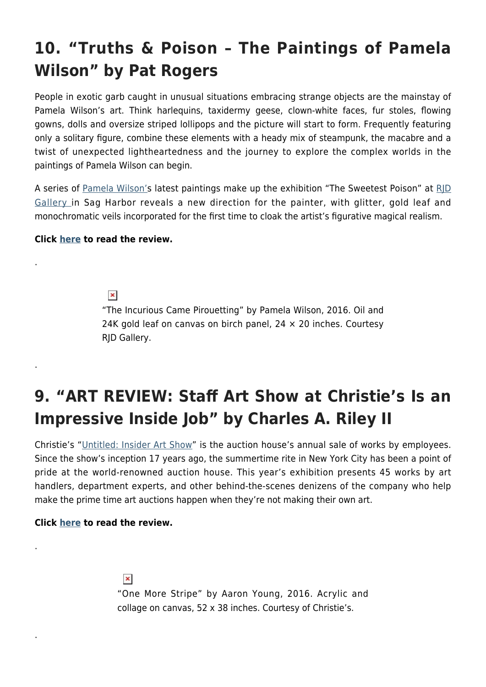### **10. "Truths & Poison – The Paintings of Pamela Wilson" by Pat Rogers**

People in exotic garb caught in unusual situations embracing strange objects are the mainstay of Pamela Wilson's art. Think harlequins, taxidermy geese, clown-white faces, fur stoles, flowing gowns, dolls and oversize striped lollipops and the picture will start to form. Frequently featuring only a solitary figure, combine these elements with a heady mix of steampunk, the macabre and a twist of unexpected lightheartedness and the journey to explore the complex worlds in the paintings of Pamela Wilson can begin.

A series of [Pamela Wilson's](http://pamelawilsonfineart.com/www.pamelawilsonfineart.com/Home.html) latest paintings make up the exhibition "The Sweetest Poison" at RID [Gallery i](http://rjdgallery.com/)n Sag Harbor reveals a new direction for the painter, with glitter, gold leaf and monochromatic veils incorporated for the first time to cloak the artist's figurative magical realism.

#### **Click [here](https://hamptonsarthub.com/2016/08/19/artist-profile-truths-poison-the-paintings-of-pamela-wilson/) to read the review.**

.

.

.

.

 $\pmb{\times}$ "The Incurious Came Pirouetting" by Pamela Wilson, 2016. Oil and 24K gold leaf on canvas on birch panel,  $24 \times 20$  inches. Courtesy RJD Gallery.

### **9. "ART REVIEW: Staff Art Show at Christie's Is an Impressive Inside Job" by Charles A. Riley II**

Christie's ["Untitled: Insider Art Show"](http://www.christies.com/features/The-unknown-artists-of-Christies-7556-3.aspx) is the auction house's annual sale of works by employees. Since the show's inception 17 years ago, the summertime rite in New York City has been a point of pride at the world-renowned auction house. This year's exhibition presents 45 works by art handlers, department experts, and other behind-the-scenes denizens of the company who help make the prime time art auctions happen when they're not making their own art.

#### **Click [here](https://hamptonsarthub.com/2016/08/24/reviews-art-review-staff-art-show-at-christies-is-an-impressive-inside-job/) to read the review.**

 $\pmb{\times}$ "One More Stripe" by Aaron Young, 2016. Acrylic and collage on canvas, 52 x 38 inches. Courtesy of Christie's.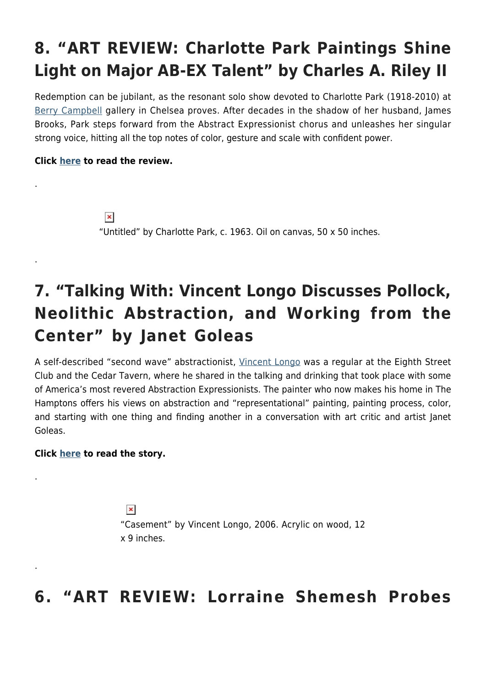### **8. "ART REVIEW: Charlotte Park Paintings Shine Light on Major AB-EX Talent" by Charles A. Riley II**

Redemption can be jubilant, as the resonant solo show devoted to Charlotte Park (1918-2010) at [Berry Campbell](http://www.berrycampbell.com/) gallery in Chelsea proves. After decades in the shadow of her husband, James Brooks, Park steps forward from the Abstract Expressionist chorus and unleashes her singular strong voice, hitting all the top notes of color, gesture and scale with confident power.

#### **Click [here](https://hamptonsarthub.com/2016/02/29/art-review-charlotte-park-paintings-shine-light-on-major-ab-ex-talent/) to read the review.**

.

.

.

.

 $\pmb{\times}$ "Untitled" by Charlotte Park, c. 1963. Oil on canvas, 50 x 50 inches.

### **7. "Talking With: Vincent Longo Discusses Pollock, Neolithic Abstraction, and Working from the Center" by Janet Goleas**

A self-described "second wave" abstractionist, [Vincent Longo](http://www.vincentlongoartist.com/) was a regular at the Eighth Street Club and the Cedar Tavern, where he shared in the talking and drinking that took place with some of America's most revered Abstraction Expressionists. The painter who now makes his home in The Hamptons offers his views on abstraction and "representational" painting, painting process, color, and starting with one thing and finding another in a conversation with art critic and artist Janet Goleas.

#### **Click [here](https://hamptonsarthub.com/2016/04/19/talking-with-vincent-longo-discusses-pollock-neolithic-abstraction-and-working-from-the-center/) to read the story.**

 $\pmb{\times}$ "Casement" by Vincent Longo, 2006. Acrylic on wood, 12 x 9 inches.

#### **6. "ART REVIEW: Lorraine Shemesh Probes**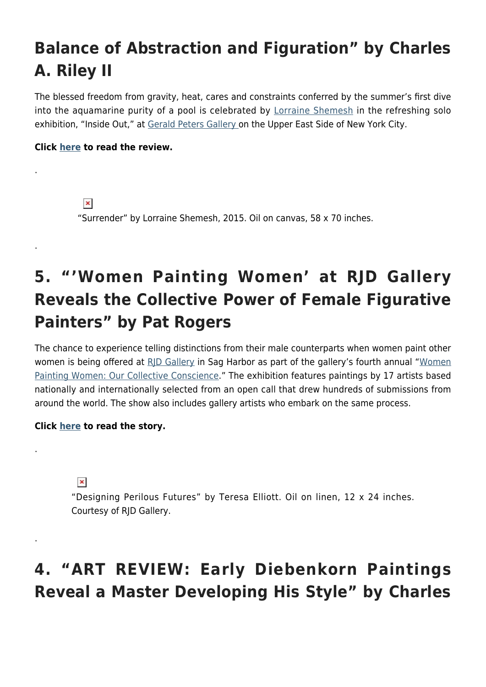### **Balance of Abstraction and Figuration" by Charles A. Riley II**

The blessed freedom from gravity, heat, cares and constraints conferred by the summer's first dive into the aquamarine purity of a pool is celebrated by [Lorraine Shemesh](http://www.lorraineshemesh.com/) in the refreshing solo exhibition, "Inside Out," at [Gerald Peters Gallery](http://www.gpgallery.com/exhibitions) on the Upper East Side of New York City.

#### **Click [here](https://hamptonsarthub.com/2016/06/03/art-review-lorraine-shemesh-probes-balance-of-abstraction-and-figuration/) to read the review.**

.

.

.

.

 $\pmb{\times}$ "Surrender" by Lorraine Shemesh, 2015. Oil on canvas, 58 x 70 inches.

### **5. "'Women Painting Women' at RJD Gallery Reveals the Collective Power of Female Figurative Painters" by Pat Rogers**

The chance to experience telling distinctions from their male counterparts when women paint other women is being offered at [RJD Gallery](http://rjdgallery.com/) in Sag Harbor as part of the gallery's fourth annual ["Women](https://www.artsy.net/show/rjd-gallery-women-painting-women-2) [Painting Women: Our Collective Conscience](https://www.artsy.net/show/rjd-gallery-women-painting-women-2)." The exhibition features paintings by 17 artists based nationally and internationally selected from an open call that drew hundreds of submissions from around the world. The show also includes gallery artists who embark on the same process.

#### **Click [here](https://hamptonsarthub.com/2016/10/03/exhibitions-women-painting-women-at-rjd-gallery-reveals-the-collective-power-of-female-figurative-painters/) to read the story.**

 $\pmb{\times}$ 

"Designing Perilous Futures" by Teresa Elliott. Oil on linen, 12 x 24 inches. Courtesy of RJD Gallery.

### **4. "ART REVIEW: Early Diebenkorn Paintings Reveal a Master Developing His Style" by Charles**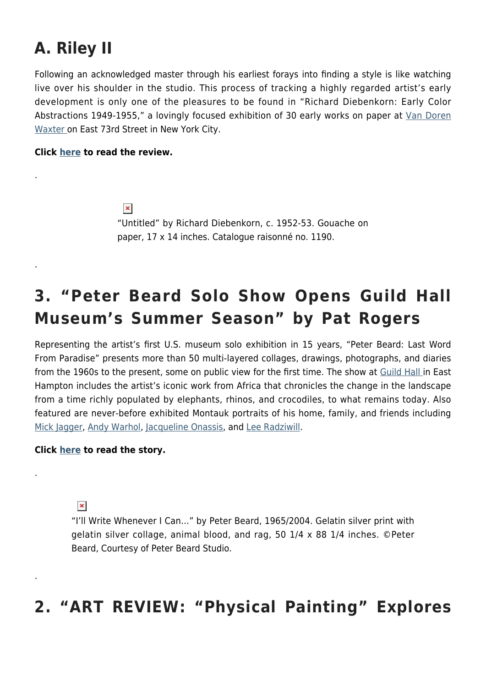### **A. Riley II**

.

.

.

.

Following an acknowledged master through his earliest forays into finding a style is like watching live over his shoulder in the studio. This process of tracking a highly regarded artist's early development is only one of the pleasures to be found in "Richard Diebenkorn: Early Color Abstractions 1949-1955," a lovingly focused exhibition of 30 early works on paper at [Van Doren](http://www.vandorenwaxter.com/) [Waxter](http://www.vandorenwaxter.com/) on East 73rd Street in New York City.

#### **Click [here](https://hamptonsarthub.com/2016/02/16/art-review-early-deibenkorn-paintings-reveal-a-master-developing-his-style/) to read the review.**

 $\pmb{\times}$ "Untitled" by Richard Diebenkorn, c. 1952-53. Gouache on paper, 17 x 14 inches. Catalogue raisonné no. 1190.

### **3. "Peter Beard Solo Show Opens Guild Hall Museum's Summer Season" by Pat Rogers**

Representing the artist's first U.S. museum solo exhibition in 15 years, "Peter Beard: Last Word From Paradise" presents more than 50 multi-layered collages, drawings, photographs, and diaries from the 1960s to the present, some on public view for the first time. The show at [Guild Hall](http://www.guildhall.org/) in East Hampton includes the artist's iconic work from Africa that chronicles the change in the landscape from a time richly populated by elephants, rhinos, and crocodiles, to what remains today. Also featured are never-before exhibited Montauk portraits of his home, family, and friends including [Mick Jagger](https://en.wikipedia.org/wiki/Mick_Jagger), [Andy Warhol](https://hamptonsarthub.com/2016/03/21/art-review-warhol-album-covers-track-revolutionarys-progress-at-boca-raton-museum/), [Jacqueline Onassis](https://en.wikipedia.org/wiki/Jacqueline_Kennedy_Onassis), and [Lee Radziwill.](https://en.wikipedia.org/wiki/Lee_Radziwill)

#### **Click [here](https://hamptonsarthub.com/2016/04/08/exhibition-peter-beard-solo-show-opens-guild-hall-museums-summer-season/) to read the story.**

 $\pmb{\times}$ 

"I'll Write Whenever I Can…" by Peter Beard, 1965/2004. Gelatin silver print with gelatin silver collage, animal blood, and rag, 50 1/4 x 88 1/4 inches. ©Peter Beard, Courtesy of Peter Beard Studio.

#### **2. "ART REVIEW: "Physical Painting" Explores**